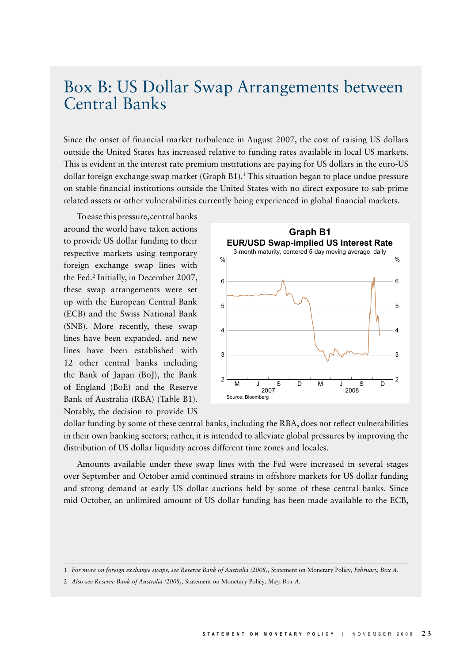## Box B: US Dollar Swap Arrangements between Central Banks

Since the onset of financial market turbulence in August 2007, the cost of raising US dollars outside the United States has increased relative to funding rates available in local US markets. This is evident in the interest rate premium institutions are paying for US dollars in the euro-US dollar foreign exchange swap market (Graph B1).<sup>1</sup> This situation began to place undue pressure on stable financial institutions outside the United States with no direct exposure to sub-prime related assets or other vulnerabilities currently being experienced in global financial markets.

To ease this pressure, central banks around the world have taken actions to provide US dollar funding to their respective markets using temporary foreign exchange swap lines with the Fed.2 Initially, in December 2007, these swap arrangements were set up with the European Central Bank (ECB) and the Swiss National Bank (SNB). More recently, these swap lines have been expanded, and new lines have been established with 12 other central banks including the Bank of Japan (BoJ), the Bank of England (BoE) and the Reserve Bank of Australia (RBA) (Table B1). Notably, the decision to provide US



dollar funding by some of these central banks, including the RBA, does not reflect vulnerabilities in their own banking sectors; rather, it is intended to alleviate global pressures by improving the distribution of US dollar liquidity across different time zones and locales.

Amounts available under these swap lines with the Fed were increased in several stages over September and October amid continued strains in offshore markets for US dollar funding and strong demand at early US dollar auctions held by some of these central banks. Since mid October, an unlimited amount of US dollar funding has been made available to the ECB,

<sup>1</sup> *For more on foreign exchange swaps, see Reserve Bank of Australia (2008),* Statement on Monetary Policy*, February, Box A.*

<sup>2</sup> *Also see Reserve Bank of Australia (2008),* Statement on Monetary Policy*, May, Box A.*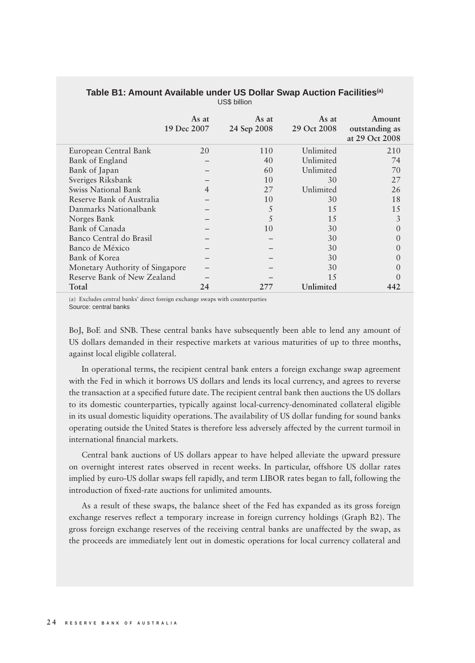|                                 | As at<br>19 Dec 2007 | As at<br>24 Sep 2008 | As at<br>29 Oct 2008 | Amount<br>outstanding as<br>at 29 Oct 2008 |
|---------------------------------|----------------------|----------------------|----------------------|--------------------------------------------|
| European Central Bank           | 20                   | 110                  | Unlimited            | 210                                        |
| Bank of England                 |                      | 40                   | Unlimited            | 74                                         |
| Bank of Japan                   |                      | 60                   | Unlimited            | 70                                         |
| Sveriges Riksbank               |                      | 10                   | 30                   | 27                                         |
| Swiss National Bank             | $\overline{4}$       | 27                   | Unlimited            | 26                                         |
| Reserve Bank of Australia       |                      | 10                   | 30                   | 18                                         |
| Danmarks Nationalbank           |                      | 5                    | 15                   | 15                                         |
| Norges Bank                     |                      | 5                    | 15                   | 3                                          |
| Bank of Canada                  |                      | 10                   | 30                   | $\Omega$                                   |
| Banco Central do Brasil         |                      |                      | 30                   |                                            |
| Banco de México                 |                      |                      | 30                   |                                            |
| Bank of Korea                   |                      |                      | 30                   |                                            |
| Monetary Authority of Singapore |                      |                      | 30                   |                                            |
| Reserve Bank of New Zealand     |                      |                      | 1.5                  |                                            |
| Total                           | 24                   | 277                  | Unlimited            | 442                                        |

## **Table B1: Amount Available under US Dollar Swap Auction Facilities(a)** US\$ billion

(a) Excludes central banks' direct foreign exchange swaps with counterparties Source: central banks

BoJ, BoE and SNB. These central banks have subsequently been able to lend any amount of US dollars demanded in their respective markets at various maturities of up to three months, against local eligible collateral.

In operational terms, the recipient central bank enters a foreign exchange swap agreement with the Fed in which it borrows US dollars and lends its local currency, and agrees to reverse the transaction at a specified future date. The recipient central bank then auctions the US dollars to its domestic counterparties, typically against local-currency-denominated collateral eligible in its usual domestic liquidity operations. The availability of US dollar funding for sound banks operating outside the United States is therefore less adversely affected by the current turmoil in international financial markets.

Central bank auctions of US dollars appear to have helped alleviate the upward pressure on overnight interest rates observed in recent weeks. In particular, offshore US dollar rates implied by euro-US dollar swaps fell rapidly, and term LIBOR rates began to fall, following the introduction of fixed-rate auctions for unlimited amounts.

As a result of these swaps, the balance sheet of the Fed has expanded as its gross foreign exchange reserves reflect a temporary increase in foreign currency holdings (Graph B2). The gross foreign exchange reserves of the receiving central banks are unaffected by the swap, as the proceeds are immediately lent out in domestic operations for local currency collateral and